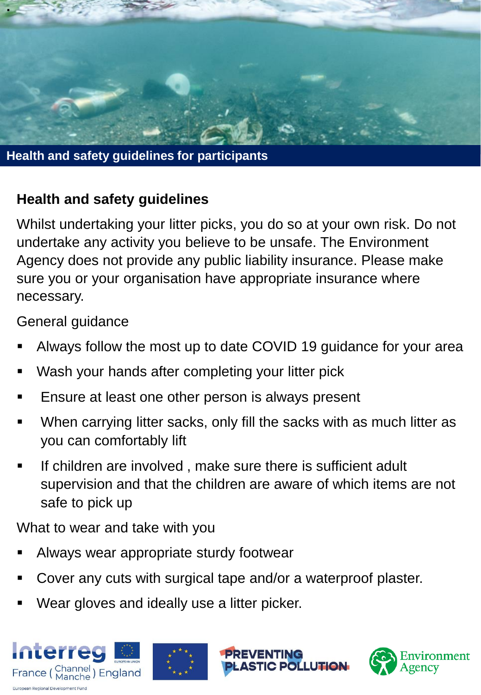

**Health and safety guidelines for participants**

## **Health and safety guidelines**

Whilst undertaking your litter picks, you do so at your own risk. Do not undertake any activity you believe to be unsafe. The Environment Agency does not provide any public liability insurance. Please make sure you or your organisation have appropriate insurance where necessary.

General guidance

- Always follow the most up to date COVID 19 guidance for your area
- Wash your hands after completing your litter pick
- Ensure at least one other person is always present
- When carrying litter sacks, only fill the sacks with as much litter as you can comfortably lift
- If children are involved, make sure there is sufficient adult supervision and that the children are aware of which items are not safe to pick up

What to wear and take with you

- Always wear appropriate sturdy footwear
- Cover any cuts with surgical tape and/or a waterproof plaster.
- Wear gloves and ideally use a litter picker.





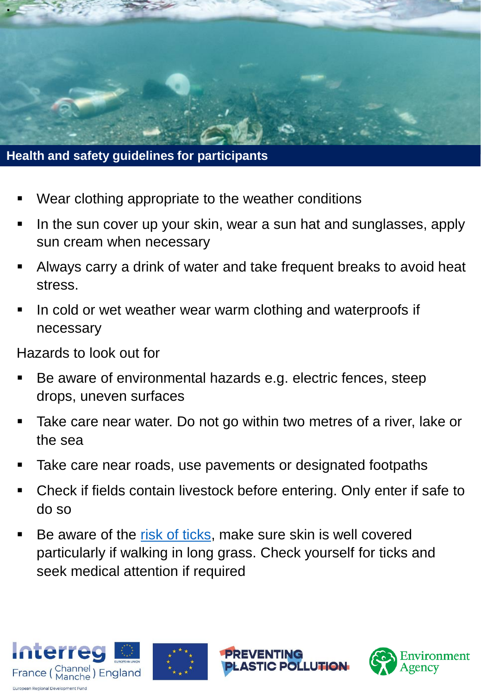

**Health and safety guidelines for participants**

- Wear clothing appropriate to the weather conditions
- In the sun cover up your skin, wear a sun hat and sunglasses, apply sun cream when necessary
- **EXTE Always carry a drink of water and take frequent breaks to avoid heat** stress.
- In cold or wet weather wear warm clothing and waterproofs if necessary

Hazards to look out for

- Be aware of environmental hazards e.g. electric fences, steep drops, uneven surfaces
- Take care near water. Do not go within two metres of a river, lake or the sea
- Take care near roads, use pavements or designated footpaths
- Check if fields contain livestock before entering. Only enter if safe to do so
- Be aware of the [risk of ticks](https://www.gov.uk/guidance/tick-surveillance-scheme), make sure skin is well covered particularly if walking in long grass. Check yourself for ticks and seek medical attention if required